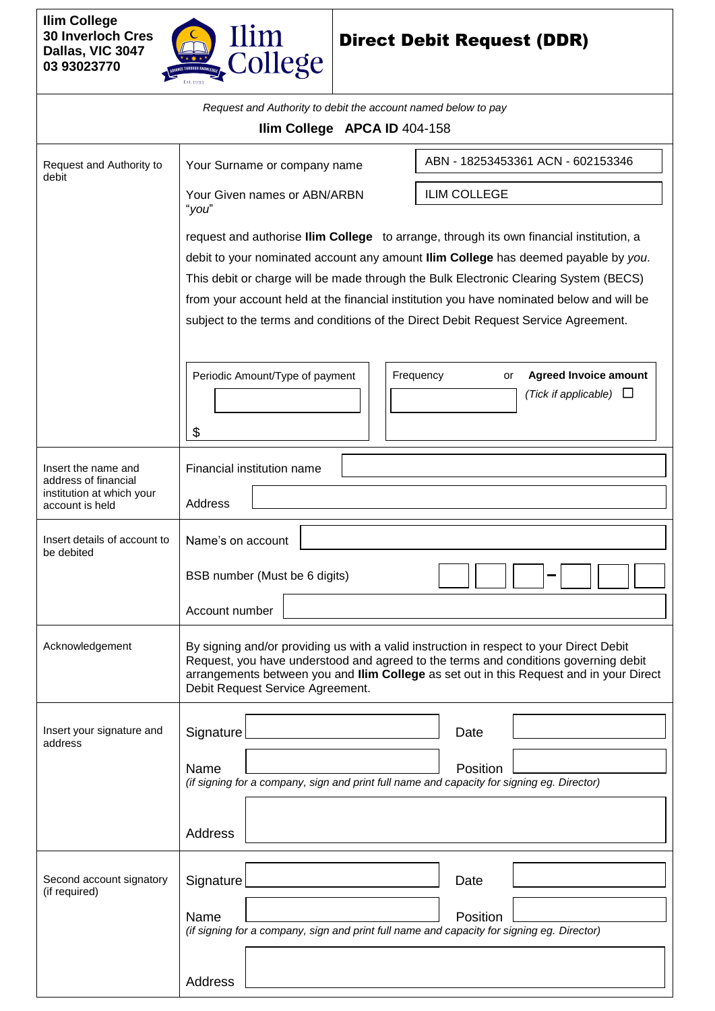

## Direct Debit Request (DDR)

|                                                                                             | Request and Authority to debit the account named below to pay                                                                                                                                                                                                                                                                                                                                                                                                  |  |  |  |  |  |  |  |  |  |  |
|---------------------------------------------------------------------------------------------|----------------------------------------------------------------------------------------------------------------------------------------------------------------------------------------------------------------------------------------------------------------------------------------------------------------------------------------------------------------------------------------------------------------------------------------------------------------|--|--|--|--|--|--|--|--|--|--|
| Ilim College APCA ID 404-158                                                                |                                                                                                                                                                                                                                                                                                                                                                                                                                                                |  |  |  |  |  |  |  |  |  |  |
| Request and Authority to<br>debit                                                           | ABN - 18253453361 ACN - 602153346<br>Your Surname or company name                                                                                                                                                                                                                                                                                                                                                                                              |  |  |  |  |  |  |  |  |  |  |
|                                                                                             | <b>ILIM COLLEGE</b><br>Your Given names or ABN/ARBN<br>"you"                                                                                                                                                                                                                                                                                                                                                                                                   |  |  |  |  |  |  |  |  |  |  |
|                                                                                             | request and authorise <b>Ilim College</b> to arrange, through its own financial institution, a<br>debit to your nominated account any amount llim College has deemed payable by you.<br>This debit or charge will be made through the Bulk Electronic Clearing System (BECS)<br>from your account held at the financial institution you have nominated below and will be<br>subject to the terms and conditions of the Direct Debit Request Service Agreement. |  |  |  |  |  |  |  |  |  |  |
|                                                                                             | Periodic Amount/Type of payment<br>Frequency<br><b>Agreed Invoice amount</b><br>or<br>(Tick if applicable) $\Box$<br>\$                                                                                                                                                                                                                                                                                                                                        |  |  |  |  |  |  |  |  |  |  |
| Insert the name and<br>address of financial<br>institution at which your<br>account is held | Financial institution name<br>Address                                                                                                                                                                                                                                                                                                                                                                                                                          |  |  |  |  |  |  |  |  |  |  |
| Insert details of account to<br>be debited                                                  | Name's on account                                                                                                                                                                                                                                                                                                                                                                                                                                              |  |  |  |  |  |  |  |  |  |  |
|                                                                                             | BSB number (Must be 6 digits)<br>Account number                                                                                                                                                                                                                                                                                                                                                                                                                |  |  |  |  |  |  |  |  |  |  |
| Acknowledgement                                                                             | By signing and/or providing us with a valid instruction in respect to your Direct Debit<br>Request, you have understood and agreed to the terms and conditions governing debit<br>arrangements between you and Ilim College as set out in this Request and in your Direct<br>Debit Request Service Agreement.                                                                                                                                                  |  |  |  |  |  |  |  |  |  |  |
| Insert your signature and<br>address                                                        | Signature<br>Date                                                                                                                                                                                                                                                                                                                                                                                                                                              |  |  |  |  |  |  |  |  |  |  |
|                                                                                             | Name<br>Position<br>(if signing for a company, sign and print full name and capacity for signing eg. Director)                                                                                                                                                                                                                                                                                                                                                 |  |  |  |  |  |  |  |  |  |  |
|                                                                                             | <b>Address</b>                                                                                                                                                                                                                                                                                                                                                                                                                                                 |  |  |  |  |  |  |  |  |  |  |
| Second account signatory<br>(if required)                                                   | Signature<br>Date                                                                                                                                                                                                                                                                                                                                                                                                                                              |  |  |  |  |  |  |  |  |  |  |
|                                                                                             | Name<br>Position<br>(if signing for a company, sign and print full name and capacity for signing eg. Director)                                                                                                                                                                                                                                                                                                                                                 |  |  |  |  |  |  |  |  |  |  |
|                                                                                             | Address                                                                                                                                                                                                                                                                                                                                                                                                                                                        |  |  |  |  |  |  |  |  |  |  |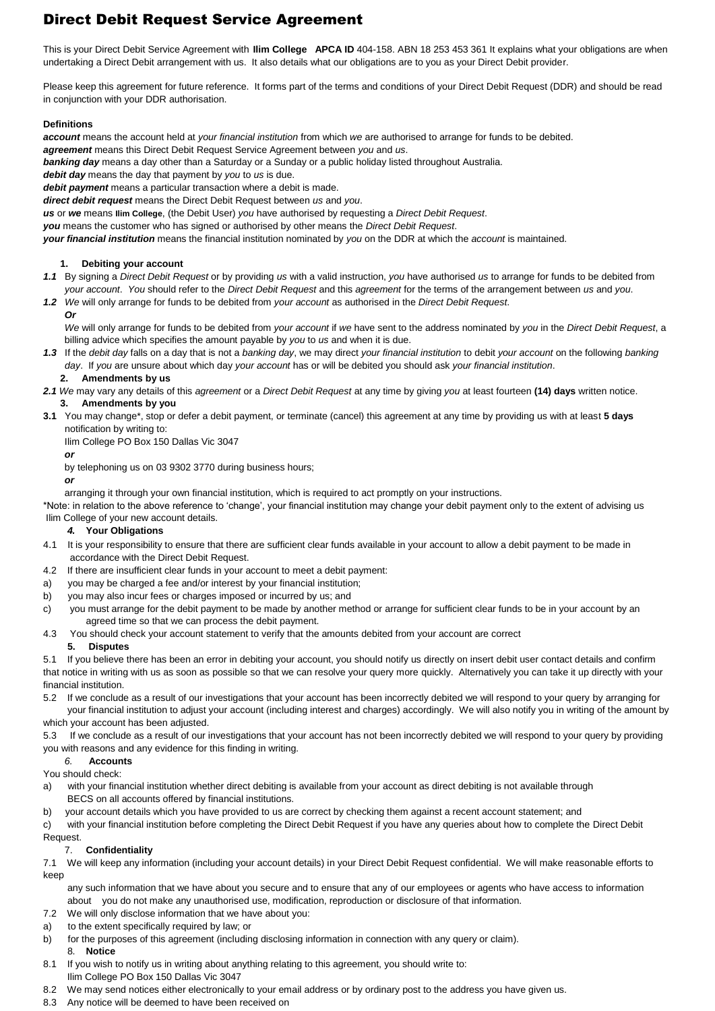### Direct Debit Request Service Agreement

This is your Direct Debit Service Agreement with **Ilim College APCA ID** 404-158. ABN 18 253 453 361 It explains what your obligations are when undertaking a Direct Debit arrangement with us. It also details what our obligations are to you as your Direct Debit provider.

Please keep this agreement for future reference. It forms part of the terms and conditions of your Direct Debit Request (DDR) and should be read in conjunction with your DDR authorisation.

#### **Definitions**

*account* means the account held at *your financial institution* from which *we* are authorised to arrange for funds to be debited.

*agreement* means this Direct Debit Request Service Agreement between *you* and *us*.

*banking day* means a day other than a Saturday or a Sunday or a public holiday listed throughout Australia.

*debit day* means the day that payment by *you* to *us* is due.

*debit payment* means a particular transaction where a debit is made.

*direct debit request* means the Direct Debit Request between *us* and *you*.

*us* or *we* means **Ilim College**, (the Debit User) *you* have authorised by requesting a *Direct Debit Request*.

*you* means the customer who has signed or authorised by other means the *Direct Debit Request*.

*your financial institution* means the financial institution nominated by *you* on the DDR at which the *account* is maintained.

#### **1. Debiting your account**

- *1.1* By signing a *Direct Debit Request* or by providing *us* with a valid instruction, *you* have authorised *us* to arrange for funds to be debited from *your account*. *You* should refer to the *Direct Debit Request* and this *agreement* for the terms of the arrangement between *us* and *you*.
- *1.2 We* will only arrange for funds to be debited from *your account* as authorised in the *Direct Debit Request*. *Or*

*We* will only arrange for funds to be debited from *your account* if *we* have sent to the address nominated by *you* in the *Direct Debit Request*, a billing advice which specifies the amount payable by *you* to *us* and when it is due.

*1.3* If the *debit day* falls on a day that is not a *banking day*, we may direct *your financial institution* to debit *your account* on the following *banking day*. If *you* are unsure about which day *your account* has or will be debited you should ask *your financial institution*.

#### **2. Amendments by us**

- *2.1 We* may vary any details of this *agreement* or a *Direct Debit Request* at any time by giving *you* at least fourteen **(14) days** written notice. **3. Amendments by you**
- **3.1** You may change\*, stop or defer a debit payment, or terminate (cancel) this agreement at any time by providing us with at least **5 days** notification by writing to:

Ilim College PO Box 150 Dallas Vic 3047

#### *or*

by telephoning us on 03 9302 3770 during business hours;

*or*  arranging it through your own financial institution, which is required to act promptly on your instructions.

\*Note: in relation to the above reference to 'change', your financial institution may change your debit payment only to the extent of advising us Ilim College of your new account details.

#### *4.* **Your Obligations**

- 4.1 It is your responsibility to ensure that there are sufficient clear funds available in your account to allow a debit payment to be made in accordance with the Direct Debit Request.
- 4.2 If there are insufficient clear funds in your account to meet a debit payment:
- a) you may be charged a fee and/or interest by your financial institution;
- b) you may also incur fees or charges imposed or incurred by us; and
- c) you must arrange for the debit payment to be made by another method or arrange for sufficient clear funds to be in your account by an agreed time so that we can process the debit payment.
- 4.3 You should check your account statement to verify that the amounts debited from your account are correct

#### **5. Disputes**

5.1 If you believe there has been an error in debiting your account, you should notify us directly on insert debit user contact details and confirm that notice in writing with us as soon as possible so that we can resolve your query more quickly. Alternatively you can take it up directly with your financial institution.

5.2 If we conclude as a result of our investigations that your account has been incorrectly debited we will respond to your query by arranging for your financial institution to adjust your account (including interest and charges) accordingly. We will also notify you in writing of the amount by which your account has been adjusted.

5.3 If we conclude as a result of our investigations that your account has not been incorrectly debited we will respond to your query by providing you with reasons and any evidence for this finding in writing*.* 

*6.* **Accounts**

#### You should check:

- a) with your financial institution whether direct debiting is available from your account as direct debiting is not available through BECS on all accounts offered by financial institutions.
- b) your account details which you have provided to us are correct by checking them against a recent account statement; and

c) with your financial institution before completing the Direct Debit Request if you have any queries about how to complete the Direct Debit Request.

#### 7. **Confidentiality**

7.1 We will keep any information (including your account details) in your Direct Debit Request confidential. We will make reasonable efforts to keep

 any such information that we have about you secure and to ensure that any of our employees or agents who have access to information about you do not make any unauthorised use, modification, reproduction or disclosure of that information.

- 7.2 We will only disclose information that we have about you:
- a) to the extent specifically required by law; or
- b) for the purposes of this agreement (including disclosing information in connection with any query or claim).
- 8. **Notice** 8.1 If you wish to notify us in writing about anything relating to this agreement, you should write to: Ilim College PO Box 150 Dallas Vic 3047
- 8.2 We may send notices either electronically to your email address or by ordinary post to the address you have given us.
- 8.3 Any notice will be deemed to have been received on